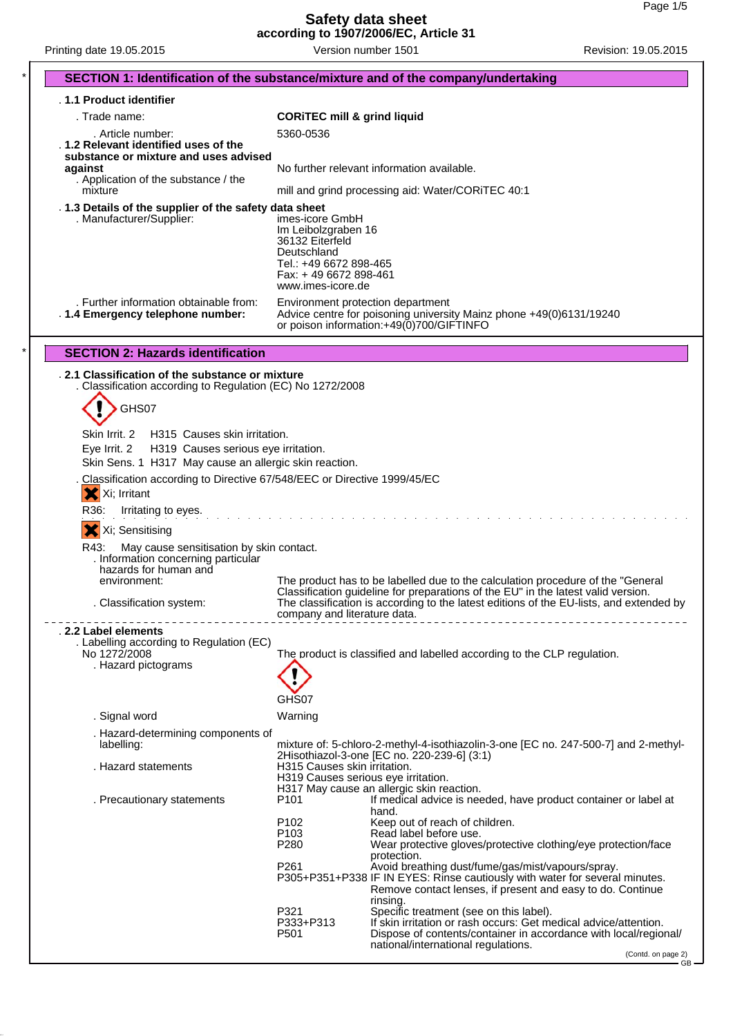**Safety data sheet according to 1907/2006/EC, Article 31**

Printing date 19.05.2015 **Version number 1501** Revision: 19.05.2015

| SECTION 1: Identification of the substance/mixture and of the company/undertaking                                                                              |                                                                                                                                                                                                              |                                                                                                                                                                                                                        |  |  |
|----------------------------------------------------------------------------------------------------------------------------------------------------------------|--------------------------------------------------------------------------------------------------------------------------------------------------------------------------------------------------------------|------------------------------------------------------------------------------------------------------------------------------------------------------------------------------------------------------------------------|--|--|
| . 1.1 Product identifier                                                                                                                                       |                                                                                                                                                                                                              |                                                                                                                                                                                                                        |  |  |
| . Trade name:                                                                                                                                                  | <b>CORITEC mill &amp; grind liquid</b>                                                                                                                                                                       |                                                                                                                                                                                                                        |  |  |
| . Article number:                                                                                                                                              | 5360-0536                                                                                                                                                                                                    |                                                                                                                                                                                                                        |  |  |
| 1.2 Relevant identified uses of the<br>substance or mixture and uses advised<br>against<br>. Application of the substance / the                                | No further relevant information available.<br>mill and grind processing aid: Water/CORiTEC 40:1                                                                                                              |                                                                                                                                                                                                                        |  |  |
| mixture                                                                                                                                                        |                                                                                                                                                                                                              |                                                                                                                                                                                                                        |  |  |
| . 1.3 Details of the supplier of the safety data sheet<br>. Manufacturer/Supplier:<br>. Further information obtainable from:                                   | imes-icore GmbH<br>Im Leibolzgraben 16<br>36132 Eiterfeld<br>Deutschland<br>Tel.: +49 6672 898-465<br>Fax: +49 6672 898-461<br>www.imes-icore.de<br>Environment protection department                        |                                                                                                                                                                                                                        |  |  |
| . 1.4 Emergency telephone number:                                                                                                                              |                                                                                                                                                                                                              | Advice centre for poisoning university Mainz phone +49(0)6131/19240<br>or poison information: +49(0)700/GIFTINFO                                                                                                       |  |  |
| <b>SECTION 2: Hazards identification</b>                                                                                                                       |                                                                                                                                                                                                              |                                                                                                                                                                                                                        |  |  |
| . 2.1 Classification of the substance or mixture<br>. Classification according to Regulation (EC) No 1272/2008                                                 |                                                                                                                                                                                                              |                                                                                                                                                                                                                        |  |  |
| GHS07                                                                                                                                                          |                                                                                                                                                                                                              |                                                                                                                                                                                                                        |  |  |
| Skin Irrit, 2<br>H315 Causes skin irritation.<br>Eye Irrit. 2<br>H319 Causes serious eye irritation.<br>Skin Sens. 1 H317 May cause an allergic skin reaction. |                                                                                                                                                                                                              |                                                                                                                                                                                                                        |  |  |
| Classification according to Directive 67/548/EEC or Directive 1999/45/EC<br>X Xi; Irritant<br>R36.<br>Irritating to eyes.                                      |                                                                                                                                                                                                              |                                                                                                                                                                                                                        |  |  |
|                                                                                                                                                                |                                                                                                                                                                                                              |                                                                                                                                                                                                                        |  |  |
| X Xi; Sensitising<br>R43:<br>May cause sensitisation by skin contact.<br>. Information concerning particular<br>hazards for human and<br>environment:          |                                                                                                                                                                                                              | The product has to be labelled due to the calculation procedure of the "General"                                                                                                                                       |  |  |
| . Classification system:                                                                                                                                       | Classification guideline for preparations of the EU" in the latest valid version.<br>The classification is according to the latest editions of the EU-lists, and extended by<br>company and literature data. |                                                                                                                                                                                                                        |  |  |
| . 2.2 Label elements                                                                                                                                           |                                                                                                                                                                                                              |                                                                                                                                                                                                                        |  |  |
| . Labelling according to Regulation (EC)<br>No 1272/2008<br>. Hazard pictograms                                                                                |                                                                                                                                                                                                              | The product is classified and labelled according to the CLP regulation.                                                                                                                                                |  |  |
|                                                                                                                                                                | GHS07                                                                                                                                                                                                        |                                                                                                                                                                                                                        |  |  |
| . Signal word                                                                                                                                                  | Warning                                                                                                                                                                                                      |                                                                                                                                                                                                                        |  |  |
| . Hazard-determining components of<br>labelling:                                                                                                               |                                                                                                                                                                                                              | mixture of: 5-chloro-2-methyl-4-isothiazolin-3-one [EC no. 247-500-7] and 2-methyl-<br>2Hisothiazol-3-one [EC no. 220-239-6] (3:1)                                                                                     |  |  |
| . Hazard statements                                                                                                                                            | H315 Causes skin irritation.<br>H319 Causes serious eye irritation.                                                                                                                                          | H317 May cause an allergic skin reaction.                                                                                                                                                                              |  |  |
| . Precautionary statements                                                                                                                                     | P <sub>101</sub><br>P <sub>102</sub><br>P <sub>103</sub>                                                                                                                                                     | If medical advice is needed, have product container or label at<br>hand.<br>Keep out of reach of children.<br>Read label before use.                                                                                   |  |  |
|                                                                                                                                                                | P280<br>P <sub>261</sub>                                                                                                                                                                                     | Wear protective gloves/protective clothing/eye protection/face<br>protection.<br>Avoid breathing dust/fume/gas/mist/vapours/spray.                                                                                     |  |  |
|                                                                                                                                                                |                                                                                                                                                                                                              | P305+P351+P338 IF IN EYES: Rinse cautiously with water for several minutes.<br>Remove contact lenses, if present and easy to do. Continue<br>rinsing.                                                                  |  |  |
|                                                                                                                                                                | P321<br>P333+P313<br>P <sub>501</sub>                                                                                                                                                                        | Specific treatment (see on this label).<br>If skin irritation or rash occurs: Get medical advice/attention.<br>Dispose of contents/container in accordance with local/regional/<br>national/international regulations. |  |  |
|                                                                                                                                                                |                                                                                                                                                                                                              | (Contd. on page 2)<br>- GB -                                                                                                                                                                                           |  |  |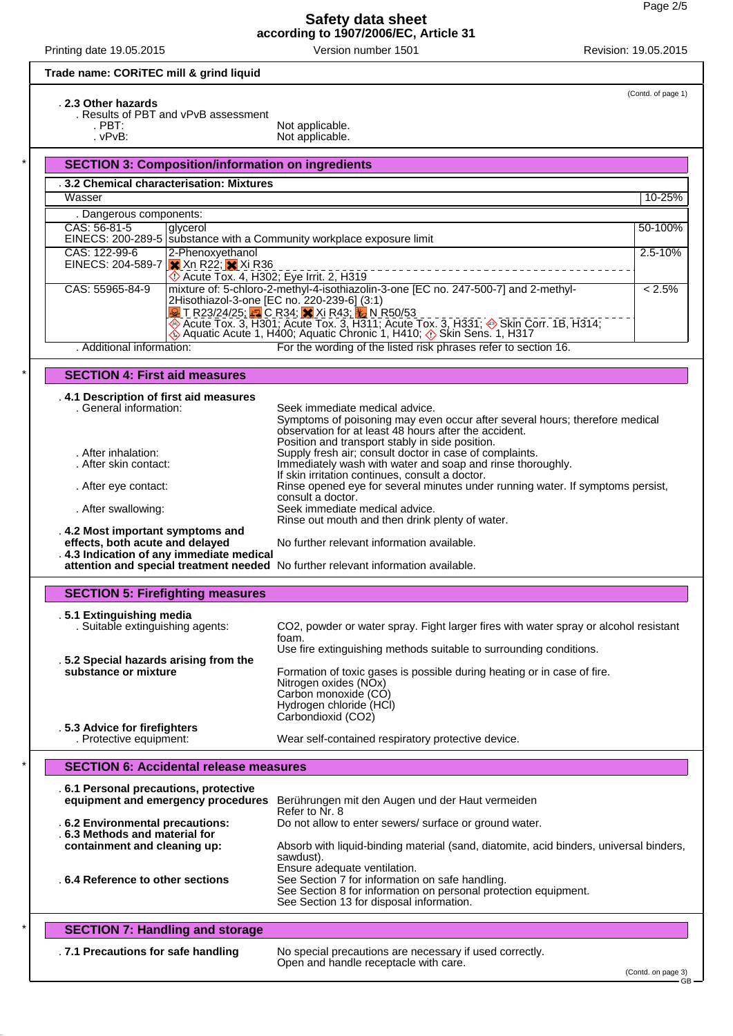(Contd. of page 1)

Printing date 19.05.2015 Version number 1501 Revision: 19.05.2015

# **Trade name: CORiTEC mill & grind liquid**

#### . **2.3 Other hazards**

. Results of PBT and vPvB assessment

. PBT: Not applicable. . vPvB: Not applicable.

| <b>SECTION 3: Composition/information on ingredients</b>                                                                                                                                           |                                                                                                                                                                                                                                                                                                                                 |                                                                                                                                                                                                                           |  |  |  |
|----------------------------------------------------------------------------------------------------------------------------------------------------------------------------------------------------|---------------------------------------------------------------------------------------------------------------------------------------------------------------------------------------------------------------------------------------------------------------------------------------------------------------------------------|---------------------------------------------------------------------------------------------------------------------------------------------------------------------------------------------------------------------------|--|--|--|
| 3.2 Chemical characterisation: Mixtures                                                                                                                                                            |                                                                                                                                                                                                                                                                                                                                 |                                                                                                                                                                                                                           |  |  |  |
| Wasser                                                                                                                                                                                             |                                                                                                                                                                                                                                                                                                                                 |                                                                                                                                                                                                                           |  |  |  |
| . Dangerous components:                                                                                                                                                                            |                                                                                                                                                                                                                                                                                                                                 |                                                                                                                                                                                                                           |  |  |  |
| CAS: 56-81-5                                                                                                                                                                                       | glycerol                                                                                                                                                                                                                                                                                                                        | EINECS: 200-289-5   substance with a Community workplace exposure limit                                                                                                                                                   |  |  |  |
| CAS: 122-99-6<br>EINECS: 204-589-7                                                                                                                                                                 | 2-Phenoxyethanol<br>2.5-10%<br>$\overline{\mathbf{x}}$ Xn R22; $\overline{\mathbf{x}}$ Xi R36<br>♦ Acute Tox. 4, H302; Eye Irrit. 2, H319                                                                                                                                                                                       |                                                                                                                                                                                                                           |  |  |  |
| CAS: 55965-84-9                                                                                                                                                                                    | mixture of: 5-chloro-2-methyl-4-isothiazolin-3-one [EC no. 247-500-7] and 2-methyl-<br>$< 2.5\%$<br>2Hisothiazol-3-one [EC no. 220-239-6] (3:1)<br><b>2</b> T R23/24/25; C R34; X Xi R43; L N R50/53<br>Acute Tox. 3, H301; Acute Tox. 3, H311; Acute Tox. 3, H331; Sin Corr. 1B, H314; Acute Tox. 3, H301; Acute Tox. 3, H314; |                                                                                                                                                                                                                           |  |  |  |
| . Additional information:                                                                                                                                                                          |                                                                                                                                                                                                                                                                                                                                 | For the wording of the listed risk phrases refer to section 16.                                                                                                                                                           |  |  |  |
| <b>SECTION 4: First aid measures</b>                                                                                                                                                               |                                                                                                                                                                                                                                                                                                                                 |                                                                                                                                                                                                                           |  |  |  |
| . 4.1 Description of first aid measures<br>. General information:                                                                                                                                  |                                                                                                                                                                                                                                                                                                                                 | Seek immediate medical advice.<br>Symptoms of poisoning may even occur after several hours; therefore medical<br>observation for at least 48 hours after the accident.<br>Position and transport stably in side position. |  |  |  |
| . After inhalation:<br>. After skin contact:                                                                                                                                                       |                                                                                                                                                                                                                                                                                                                                 | Supply fresh air; consult doctor in case of complaints.<br>Immediately wash with water and soap and rinse thoroughly.<br>If skin irritation continues, consult a doctor.                                                  |  |  |  |
| . After eye contact:                                                                                                                                                                               |                                                                                                                                                                                                                                                                                                                                 | Rinse opened eye for several minutes under running water. If symptoms persist,<br>consult a doctor.                                                                                                                       |  |  |  |
| . After swallowing:                                                                                                                                                                                |                                                                                                                                                                                                                                                                                                                                 | Seek immediate medical advice.<br>Rinse out mouth and then drink plenty of water.                                                                                                                                         |  |  |  |
| 4.2 Most important symptoms and<br>effects, both acute and delayed<br>4.3 Indication of any immediate medical<br>attention and special treatment needed No further relevant information available. |                                                                                                                                                                                                                                                                                                                                 | No further relevant information available.                                                                                                                                                                                |  |  |  |
| <b>SECTION 5: Firefighting measures</b>                                                                                                                                                            |                                                                                                                                                                                                                                                                                                                                 |                                                                                                                                                                                                                           |  |  |  |
| .5.1 Extinguishing media<br>. Suitable extinguishing agents:                                                                                                                                       |                                                                                                                                                                                                                                                                                                                                 | CO2, powder or water spray. Fight larger fires with water spray or alcohol resistant<br>foam.                                                                                                                             |  |  |  |
| .5.2 Special hazards arising from the<br>substance or mixture                                                                                                                                      |                                                                                                                                                                                                                                                                                                                                 | Use fire extinguishing methods suitable to surrounding conditions.<br>Formation of toxic gases is possible during heating or in case of fire.<br>Nitrogen oxides (NO <sub>x</sub> )                                       |  |  |  |
|                                                                                                                                                                                                    |                                                                                                                                                                                                                                                                                                                                 | Carbon monoxide (CO)<br>Hydrogen chloride (HCl)<br>Carbondioxid (CO2)                                                                                                                                                     |  |  |  |
| .5.3 Advice for firefighters<br>. Protective equipment:                                                                                                                                            |                                                                                                                                                                                                                                                                                                                                 | Wear self-contained respiratory protective device.                                                                                                                                                                        |  |  |  |
| <b>SECTION 6: Accidental release measures</b>                                                                                                                                                      |                                                                                                                                                                                                                                                                                                                                 |                                                                                                                                                                                                                           |  |  |  |
| . 6.1 Personal precautions, protective                                                                                                                                                             |                                                                                                                                                                                                                                                                                                                                 | equipment and emergency procedures Berührungen mit den Augen und der Haut vermeiden<br>Refer to Nr. 8                                                                                                                     |  |  |  |
| . 6.2 Environmental precautions:<br>6.3 Methods and material for<br>containment and cleaning up:                                                                                                   |                                                                                                                                                                                                                                                                                                                                 | Do not allow to enter sewers/ surface or ground water.<br>Absorb with liquid-binding material (sand, diatomite, acid binders, universal binders,                                                                          |  |  |  |
| . 6.4 Reference to other sections                                                                                                                                                                  |                                                                                                                                                                                                                                                                                                                                 | sawdust).<br>Ensure adequate ventilation.<br>See Section 7 for information on safe handling.<br>See Section 8 for information on personal protection equipment.<br>See Section 13 for disposal information.               |  |  |  |
| <b>SECTION 7: Handling and storage</b>                                                                                                                                                             |                                                                                                                                                                                                                                                                                                                                 |                                                                                                                                                                                                                           |  |  |  |
| .7.1 Precautions for safe handling                                                                                                                                                                 |                                                                                                                                                                                                                                                                                                                                 | No special precautions are necessary if used correctly.<br>Open and handle receptacle with care.                                                                                                                          |  |  |  |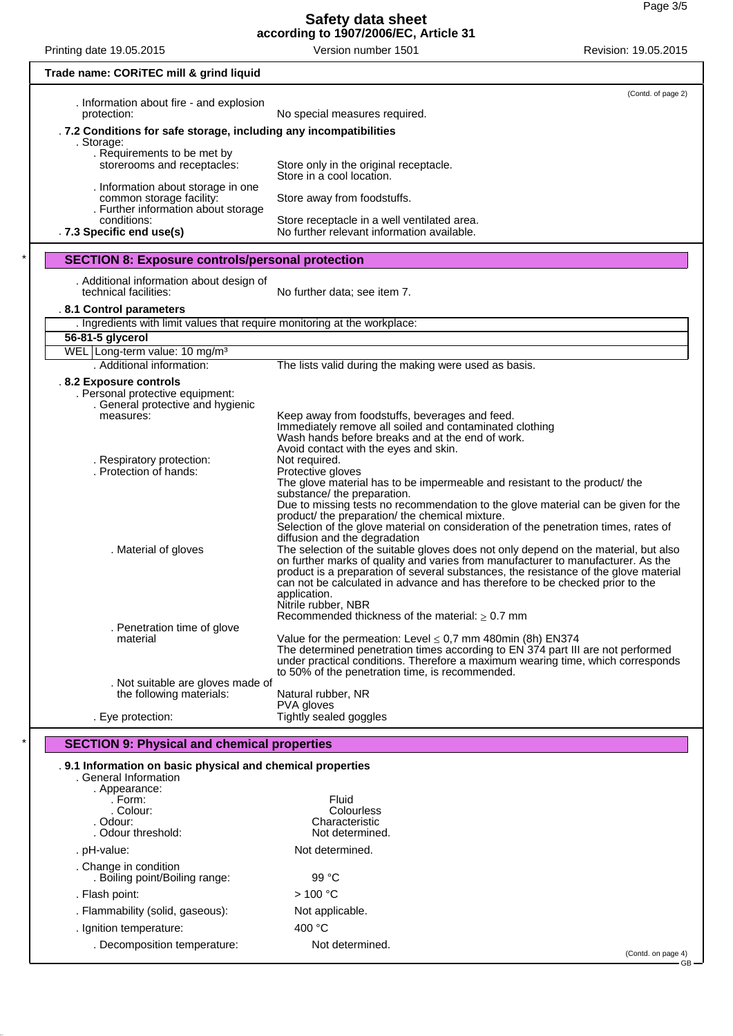#### **Safety data sheet according to 1907/2006/EC, Article 31**

| Printing date 19.05.2015                                                                              | Version number 1501                                                                                                                                                                                                                                                                                                                                                                                                                                                                                                                                                                                                                                                                    | Revision: 19.05.2015 |  |  |  |
|-------------------------------------------------------------------------------------------------------|----------------------------------------------------------------------------------------------------------------------------------------------------------------------------------------------------------------------------------------------------------------------------------------------------------------------------------------------------------------------------------------------------------------------------------------------------------------------------------------------------------------------------------------------------------------------------------------------------------------------------------------------------------------------------------------|----------------------|--|--|--|
| Trade name: CORITEC mill & grind liquid                                                               |                                                                                                                                                                                                                                                                                                                                                                                                                                                                                                                                                                                                                                                                                        |                      |  |  |  |
| . Information about fire - and explosion<br>protection:                                               | No special measures required.                                                                                                                                                                                                                                                                                                                                                                                                                                                                                                                                                                                                                                                          | (Contd. of page 2)   |  |  |  |
|                                                                                                       | . 7.2 Conditions for safe storage, including any incompatibilities                                                                                                                                                                                                                                                                                                                                                                                                                                                                                                                                                                                                                     |                      |  |  |  |
| . Requirements to be met by                                                                           | . Storage:                                                                                                                                                                                                                                                                                                                                                                                                                                                                                                                                                                                                                                                                             |                      |  |  |  |
| storerooms and receptacles:                                                                           | Store only in the original receptacle.<br>Store in a cool location.                                                                                                                                                                                                                                                                                                                                                                                                                                                                                                                                                                                                                    |                      |  |  |  |
| . Information about storage in one<br>common storage facility:                                        | Store away from foodstuffs.                                                                                                                                                                                                                                                                                                                                                                                                                                                                                                                                                                                                                                                            |                      |  |  |  |
| . Further information about storage<br>conditions:<br>. 7.3 Specific end use(s)                       | Store receptacle in a well ventilated area.<br>No further relevant information available.                                                                                                                                                                                                                                                                                                                                                                                                                                                                                                                                                                                              |                      |  |  |  |
|                                                                                                       |                                                                                                                                                                                                                                                                                                                                                                                                                                                                                                                                                                                                                                                                                        |                      |  |  |  |
| <b>SECTION 8: Exposure controls/personal protection</b>                                               |                                                                                                                                                                                                                                                                                                                                                                                                                                                                                                                                                                                                                                                                                        |                      |  |  |  |
| . Additional information about design of<br>technical facilities:                                     | No further data; see item 7.                                                                                                                                                                                                                                                                                                                                                                                                                                                                                                                                                                                                                                                           |                      |  |  |  |
| .8.1 Control parameters                                                                               |                                                                                                                                                                                                                                                                                                                                                                                                                                                                                                                                                                                                                                                                                        |                      |  |  |  |
| . Ingredients with limit values that require monitoring at the workplace:<br>56-81-5 glycerol         |                                                                                                                                                                                                                                                                                                                                                                                                                                                                                                                                                                                                                                                                                        |                      |  |  |  |
| WEL Long-term value: 10 mg/m <sup>3</sup>                                                             |                                                                                                                                                                                                                                                                                                                                                                                                                                                                                                                                                                                                                                                                                        |                      |  |  |  |
| . Additional information:                                                                             | The lists valid during the making were used as basis.                                                                                                                                                                                                                                                                                                                                                                                                                                                                                                                                                                                                                                  |                      |  |  |  |
| .8.2 Exposure controls<br>. Personal protective equipment:<br>. General protective and hygienic       |                                                                                                                                                                                                                                                                                                                                                                                                                                                                                                                                                                                                                                                                                        |                      |  |  |  |
| measures:                                                                                             | Keep away from foodstuffs, beverages and feed.                                                                                                                                                                                                                                                                                                                                                                                                                                                                                                                                                                                                                                         |                      |  |  |  |
| . Respiratory protection:<br>. Protection of hands:                                                   | Immediately remove all soiled and contaminated clothing<br>Wash hands before breaks and at the end of work.<br>Avoid contact with the eyes and skin.<br>Not required.<br>Protective gloves<br>The glove material has to be impermeable and resistant to the product/ the                                                                                                                                                                                                                                                                                                                                                                                                               |                      |  |  |  |
| . Material of gloves                                                                                  | substance/ the preparation.<br>Due to missing tests no recommendation to the glove material can be given for the<br>product/ the preparation/ the chemical mixture.<br>Selection of the glove material on consideration of the penetration times, rates of<br>diffusion and the degradation<br>The selection of the suitable gloves does not only depend on the material, but also<br>on further marks of quality and varies from manufacturer to manufacturer. As the<br>product is a preparation of several substances, the resistance of the glove material<br>can not be calculated in advance and has therefore to be checked prior to the<br>application.<br>Nitrile rubber, NBR |                      |  |  |  |
| . Penetration time of glove                                                                           | Recommended thickness of the material: $\geq 0.7$ mm                                                                                                                                                                                                                                                                                                                                                                                                                                                                                                                                                                                                                                   |                      |  |  |  |
| material                                                                                              | Value for the permeation: Level $\leq$ 0,7 mm 480min (8h) EN374<br>The determined penetration times according to EN 374 part III are not performed<br>under practical conditions. Therefore a maximum wearing time, which corresponds                                                                                                                                                                                                                                                                                                                                                                                                                                                  |                      |  |  |  |
| . Not suitable are gloves made of                                                                     | to 50% of the penetration time, is recommended.                                                                                                                                                                                                                                                                                                                                                                                                                                                                                                                                                                                                                                        |                      |  |  |  |
| the following materials:<br>. Eye protection:                                                         | Natural rubber, NR<br>PVA gloves<br>Tightly sealed goggles                                                                                                                                                                                                                                                                                                                                                                                                                                                                                                                                                                                                                             |                      |  |  |  |
|                                                                                                       |                                                                                                                                                                                                                                                                                                                                                                                                                                                                                                                                                                                                                                                                                        |                      |  |  |  |
| <b>SECTION 9: Physical and chemical properties</b>                                                    |                                                                                                                                                                                                                                                                                                                                                                                                                                                                                                                                                                                                                                                                                        |                      |  |  |  |
| . 9.1 Information on basic physical and chemical properties<br>. General Information<br>. Appearance: |                                                                                                                                                                                                                                                                                                                                                                                                                                                                                                                                                                                                                                                                                        |                      |  |  |  |
| . Form:                                                                                               | Fluid                                                                                                                                                                                                                                                                                                                                                                                                                                                                                                                                                                                                                                                                                  |                      |  |  |  |
| . Colour:<br>. Odour:                                                                                 | Colourless<br>Characteristic                                                                                                                                                                                                                                                                                                                                                                                                                                                                                                                                                                                                                                                           |                      |  |  |  |
| . Odour threshold:                                                                                    | Not determined.                                                                                                                                                                                                                                                                                                                                                                                                                                                                                                                                                                                                                                                                        |                      |  |  |  |
| . pH-value:                                                                                           | Not determined.                                                                                                                                                                                                                                                                                                                                                                                                                                                                                                                                                                                                                                                                        |                      |  |  |  |
| . Change in condition<br>. Boiling point/Boiling range:                                               | 99 $^{\circ}$ C                                                                                                                                                                                                                                                                                                                                                                                                                                                                                                                                                                                                                                                                        |                      |  |  |  |
| . Flash point:                                                                                        | >100 °C                                                                                                                                                                                                                                                                                                                                                                                                                                                                                                                                                                                                                                                                                |                      |  |  |  |
| . Flammability (solid, gaseous):                                                                      | Not applicable.                                                                                                                                                                                                                                                                                                                                                                                                                                                                                                                                                                                                                                                                        |                      |  |  |  |
| . Ignition temperature:                                                                               | 400 °C                                                                                                                                                                                                                                                                                                                                                                                                                                                                                                                                                                                                                                                                                 |                      |  |  |  |
| . Decomposition temperature:                                                                          | Not determined.                                                                                                                                                                                                                                                                                                                                                                                                                                                                                                                                                                                                                                                                        | (Contd. on page 4)   |  |  |  |
|                                                                                                       |                                                                                                                                                                                                                                                                                                                                                                                                                                                                                                                                                                                                                                                                                        | $GB -$               |  |  |  |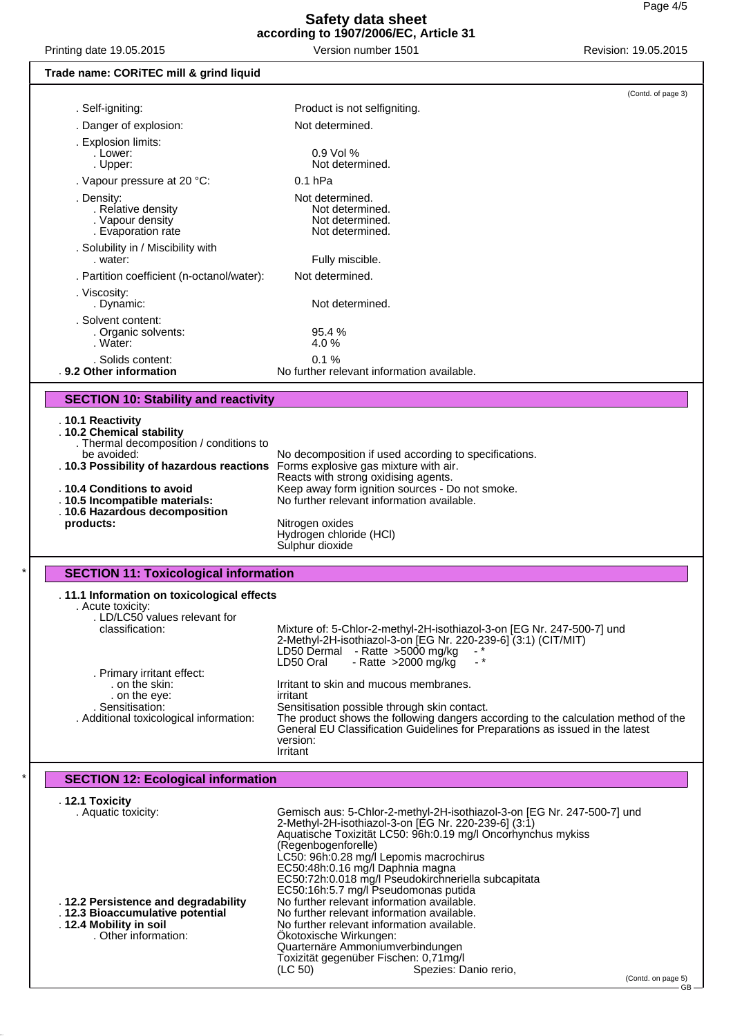## **Safety data sheet according to 1907/2006/EC, Article 31**

Printing date 19.05.2015 **Printing date 19.05.2015** Version number 1501 Revision: 19.05.2015

### **Trade name: CORiTEC mill & grind liquid** (Contd. of page 3) . Self-igniting: Product is not selfigniting. . Danger of explosion: Not determined. . Explosion limits: . Lower: 0.9 Vol % . Upper: Not determined. . Vapour pressure at 20 °C: 0.1 hPa . Density: <br>Relative density **Not determined.**<br>Not determined. . Relative density Not determined. . Vapour density<br>
Evaporation rate Not determined. . Evaporation rate . Solubility in / Miscibility with Fully miscible. . Partition coefficient (n-octanol/water): Not determined. . Viscosity: Not determined. . Solvent content: . Organic solvents: 95.4 % Water: . Solids content: 0.1 %<br>**9.2 Other information** No further relation No further relevant information available. **SECTION 10: Stability and reactivity** . **10.1 Reactivity** . **10.2 Chemical stability** Thermal decomposition / conditions to<br>be avoided: No decomposition if used according to specifications.<br>Forms explosive gas mixture with air. . **10.3 Possibility of hazardous reactions** Reacts with strong oxidising agents. . **10.4 Conditions to avoid** Keep away form ignition sources - Do not smoke.<br> **10.5 Incompatible materials:** No further relevant information available. No further relevant information available. . **10.6 Hazardous decomposition products:** Nitrogen oxides Hydrogen chloride (HCl) Sulphur dioxide **SECTION 11: Toxicological information** . **11.1 Information on toxicological effects** . Acute toxicity: . LD/LC50 values relevant for Mixture of: 5-Chlor-2-methyl-2H-isothiazol-3-on [EG Nr. 247-500-7] und 2-Methyl-2H-isothiazol-3-on [EG Nr. 220-239-6] (3:1) (CIT/MIT) LD50 Dermal - Ratte >5000 mg/kg<br>LD50 Oral - + Ratte >2000 mg/kg - Ratte  $>2000$  mg/kg . Primary irritant effect: Irritant to skin and mucous membranes.<br>irritant . on the eye:<br>Sensitisation: . Sensitisation: Sensitisation possible through skin contact.<br>Additional toxicological information: The product shows the following dangers are The product shows the following dangers according to the calculation method of the General EU Classification Guidelines for Preparations as issued in the latest version: Irritant **SECTION 12: Ecological information** . **12.1 Toxicity** Gemisch aus: 5-Chlor-2-methyl-2H-isothiazol-3-on [EG Nr. 247-500-7] und 2-Methyl-2H-isothiazol-3-on [EG Nr. 220-239-6] (3:1) Aquatische Toxizität LC50: 96h:0.19 mg/l Oncorhynchus mykiss (Regenbogenforelle) LC50: 96h:0.28 mg/l Lepomis macrochirus EC50:48h:0.16 mg/l Daphnia magna EC50:72h:0.018 mg/l Pseudokirchneriella subcapitata EC50:16h:5.7 mg/l Pseudomonas putida . **12.2 Persistence and degradability** No further relevant information available. . **12.3 Bioaccumulative potential** No further relevant information available.<br>12.4 Mobility in soil **No further relevant information available**. **10bility in soil**<br>
Other information: Cheristan Cheriston Burden Cheriston available.<br>
Okotoxische Wirkungen:

Ökotoxische Wirkungen:

Quarternäre Ammoniumverbindungen Toxizität gegenüber Fischen: 0,71mg/l

Spezies: Danio rerio,

(Contd. on page 5)

GB